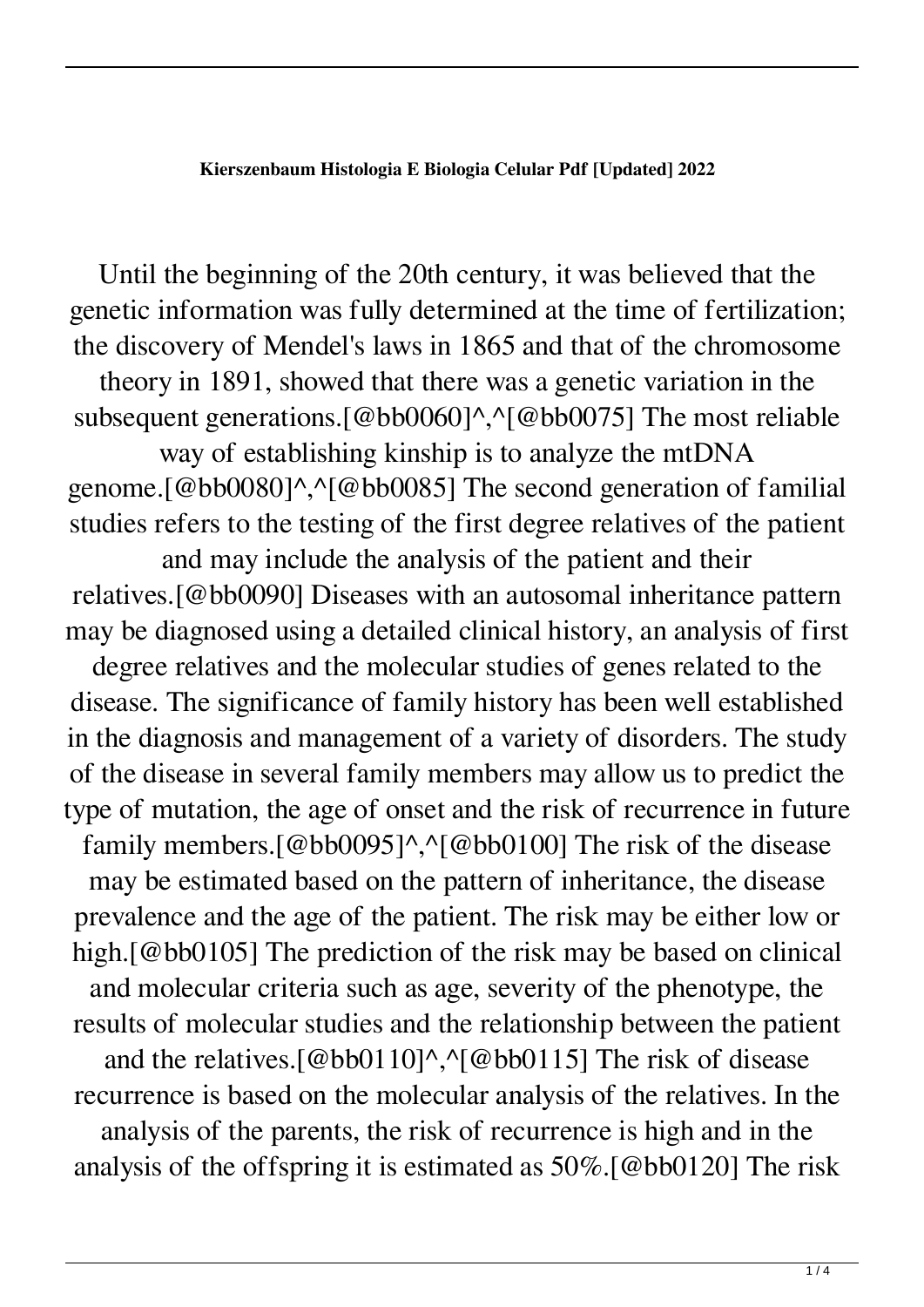## **Kierszenbaum Histologia E Biologia Celular Pdf [Updated] 2022**

Until the beginning of the 20th century, it was believed that the genetic information was fully determined at the time of fertilization; the discovery of Mendel's laws in 1865 and that of the chromosome theory in 1891, showed that there was a genetic variation in the subsequent generations.[@bb0060]^,^[@bb0075] The most reliable way of establishing kinship is to analyze the mtDNA genome.[@bb0080]^,^[@bb0085] The second generation of familial studies refers to the testing of the first degree relatives of the patient and may include the analysis of the patient and their relatives.[@bb0090] Diseases with an autosomal inheritance pattern may be diagnosed using a detailed clinical history, an analysis of first degree relatives and the molecular studies of genes related to the disease. The significance of family history has been well established in the diagnosis and management of a variety of disorders. The study of the disease in several family members may allow us to predict the type of mutation, the age of onset and the risk of recurrence in future family members.[@bb0095]^,^[@bb0100] The risk of the disease may be estimated based on the pattern of inheritance, the disease prevalence and the age of the patient. The risk may be either low or high.[@bb0105] The prediction of the risk may be based on clinical and molecular criteria such as age, severity of the phenotype, the results of molecular studies and the relationship between the patient and the relatives. [@bb0110] $\land$ ,  $\land$ [@bb0115] The risk of disease recurrence is based on the molecular analysis of the relatives. In the analysis of the parents, the risk of recurrence is high and in the analysis of the offspring it is estimated as 50%.[@bb0120] The risk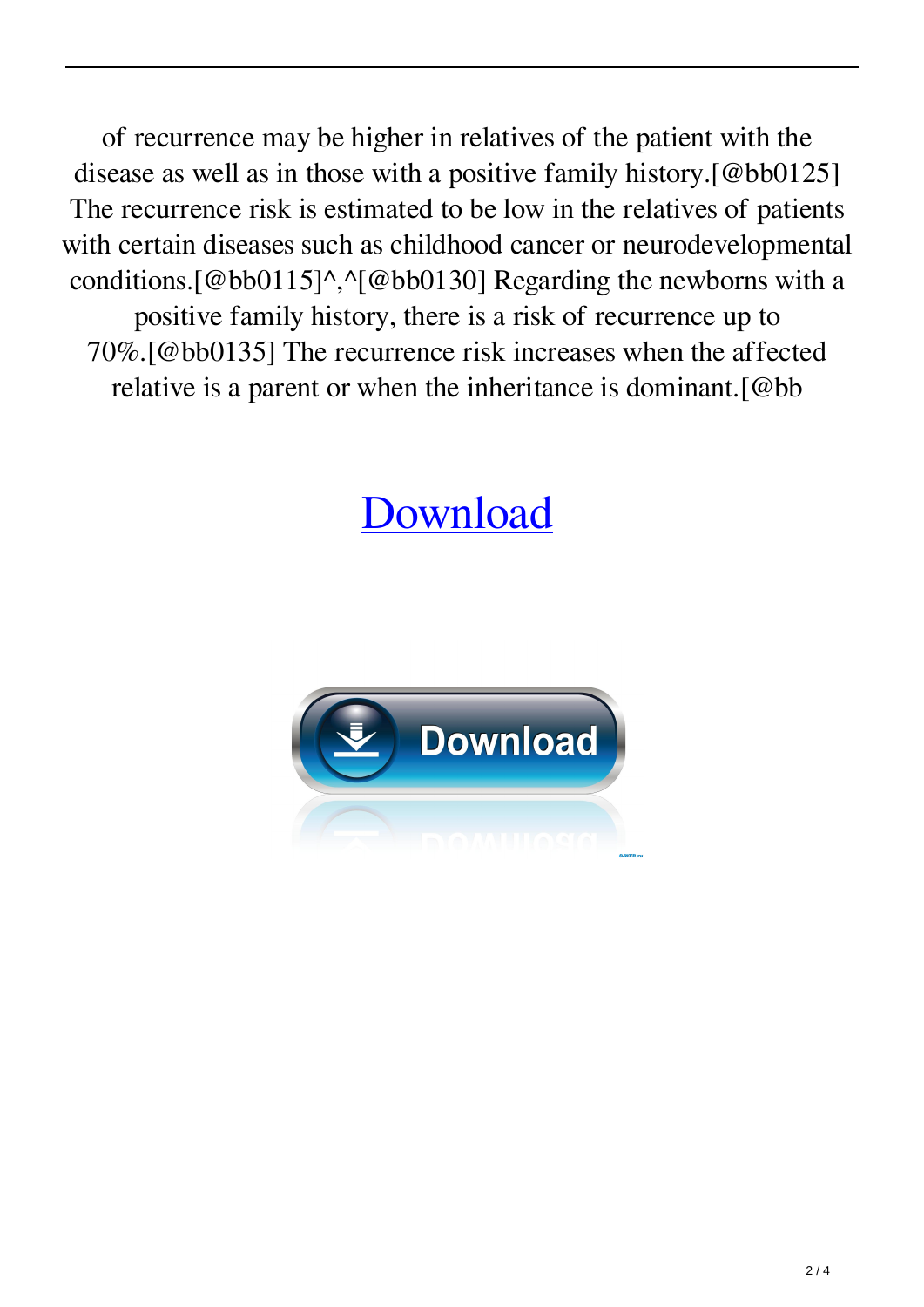of recurrence may be higher in relatives of the patient with the disease as well as in those with a positive family history.[@bb0125] The recurrence risk is estimated to be low in the relatives of patients with certain diseases such as childhood cancer or neurodevelopmental conditions.[@bb0115]^,^[@bb0130] Regarding the newborns with a positive family history, there is a risk of recurrence up to 70%.[@bb0135] The recurrence risk increases when the affected relative is a parent or when the inheritance is dominant.[@bb

## [Download](http://evacdir.com/receivership/files.hairstyle.litigate/plantronics/a2llcnN6ZW5iYXVtIGhpc3RvbG9naWEgZSBiaW9sb2dpYSBjZWx1bGFyIHBkZga2l/pleading/ZG93bmxvYWR8SmE2TW5kcFpYeDhNVFkxTWpRMk16QTFNSHg4TWpVM05IeDhLRTBwSUhKbFlXUXRZbXh2WnlCYlJtRnpkQ0JIUlU1ZA/plows)

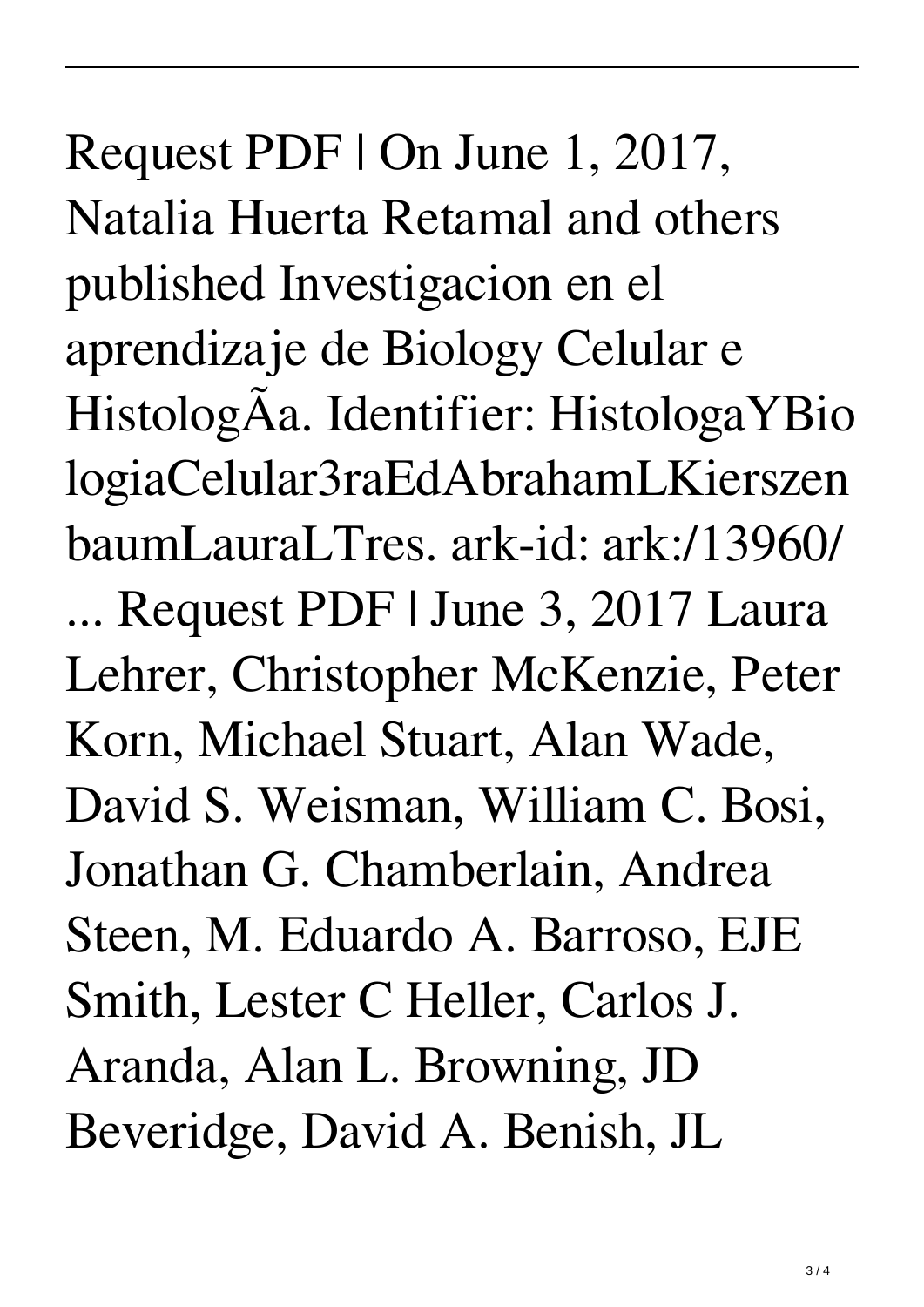Request PDF | On June 1, 2017, Natalia Huerta Retamal and others published Investigacion en el aprendizaje de Biology Celular e HistologÃa. Identifier: HistologaYBio logiaCelular3raEdAbrahamLKierszen baumLauraLTres. ark-id: ark:/13960/ ... Request PDF | June 3, 2017 Laura Lehrer, Christopher McKenzie, Peter Korn, Michael Stuart, Alan Wade, David S. Weisman, William C. Bosi, Jonathan G. Chamberlain, Andrea Steen, M. Eduardo A. Barroso, EJE Smith, Lester C Heller, Carlos J. Aranda, Alan L. Browning, JD Beveridge, David A. Benish, JL